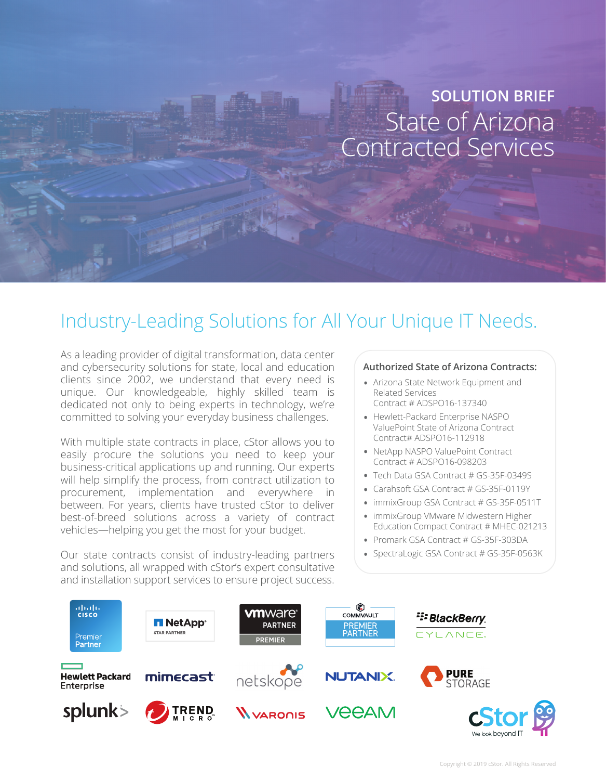# State of Arizona Contracted Services **SOLUTION BRIEF**

# Industry-Leading Solutions for All Your Unique IT Needs.

As a leading provider of digital transformation, data center and cybersecurity solutions for state, local and education clients since 2002, we understand that every need is unique. Our knowledgeable, highly skilled team is dedicated not only to being experts in technology, we're committed to solving your everyday business challenges.

With multiple state contracts in place, cStor allows you to easily procure the solutions you need to keep your business-critical applications up and running. Our experts will help simplify the process, from contract utilization to procurement, implementation and everywhere in between. For years, clients have trusted cStor to deliver best-of-breed solutions across a variety of contract vehicles—helping you get the most for your budget.

Our state contracts consist of industry-leading partners and solutions, all wrapped with cStor's expert consultative and installation support services to ensure project success.

#### **Authorized State of Arizona Contracts:**

- Arizona State Network Equipment and Related Services Contract # ADSPO16-137340
- Hewlett-Packard Enterprise NASPO ValuePoint State of Arizona Contract Contract# ADSPO16-112918
- NetApp NASPO ValuePoint Contract Contract # ADSPO16-098203
- Tech Data GSA Contract # GS-35F-0349S
- Carahsoft GSA Contract # GS-35F-0119Y
- immixGroup GSA Contract # GS-35F-0511T
- immixGroup VMware Midwestern Higher Education Compact Contract # MHEC-021213
- Promark GSA Contract # GS-35F-303DA
- SpectraLogic GSA Contract # GS-35F-0563K